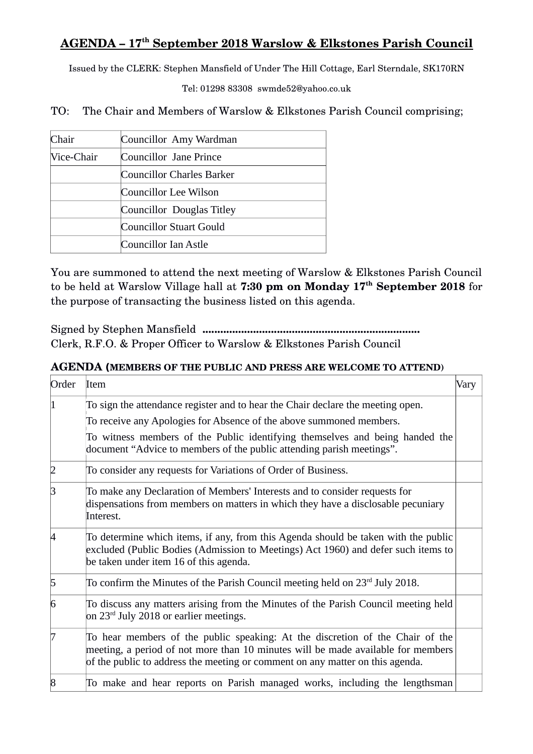## **AGENDA – 17th September 2018 Warslow & Elkstones Parish Council**

Issued by the CLERK: Stephen Mansfield of Under The Hill Cottage, Earl Sterndale, SK170RN

Tel: 01298 83308 swmde52@yahoo.co.uk

TO: The Chair and Members of Warslow & Elkstones Parish Council comprising;

| Chair      | Councillor Amy Wardman    |
|------------|---------------------------|
| Vice-Chair | Councillor Jane Prince    |
|            | Councillor Charles Barker |
|            | Councillor Lee Wilson     |
|            | Councillor Douglas Titley |
|            | Councillor Stuart Gould   |
|            | Councillor Ian Astle      |

You are summoned to attend the next meeting of Warslow & Elkstones Parish Council to be held at Warslow Village hall at **7:30 pm on Monday 17th September 2018** for the purpose of transacting the business listed on this agenda.

Signed by Stephen Mansfield **.........................................................................** Clerk, R.F.O. & Proper Officer to Warslow & Elkstones Parish Council

## **AGENDA (MEMBERS OF THE PUBLIC AND PRESS ARE WELCOME TO ATTEND)**

| Order | Item                                                                                                                                                                                                                                                                                                            | Vary |
|-------|-----------------------------------------------------------------------------------------------------------------------------------------------------------------------------------------------------------------------------------------------------------------------------------------------------------------|------|
|       | To sign the attendance register and to hear the Chair declare the meeting open.<br>To receive any Apologies for Absence of the above summoned members.<br>To witness members of the Public identifying themselves and being handed the<br>document "Advice to members of the public attending parish meetings". |      |
| 2     | To consider any requests for Variations of Order of Business.                                                                                                                                                                                                                                                   |      |
| R     | To make any Declaration of Members' Interests and to consider requests for<br>dispensations from members on matters in which they have a disclosable pecuniary<br>Interest.                                                                                                                                     |      |
| ᡌ     | To determine which items, if any, from this Agenda should be taken with the public<br>excluded (Public Bodies (Admission to Meetings) Act 1960) and defer such items to<br>be taken under item 16 of this agenda.                                                                                               |      |
| 5     | To confirm the Minutes of the Parish Council meeting held on $23rd$ July 2018.                                                                                                                                                                                                                                  |      |
| 6     | To discuss any matters arising from the Minutes of the Parish Council meeting held<br>on 23 <sup>rd</sup> July 2018 or earlier meetings.                                                                                                                                                                        |      |
| 17    | To hear members of the public speaking: At the discretion of the Chair of the<br>meeting, a period of not more than 10 minutes will be made available for members<br>of the public to address the meeting or comment on any matter on this agenda.                                                              |      |
| 8     | To make and hear reports on Parish managed works, including the lengthsman                                                                                                                                                                                                                                      |      |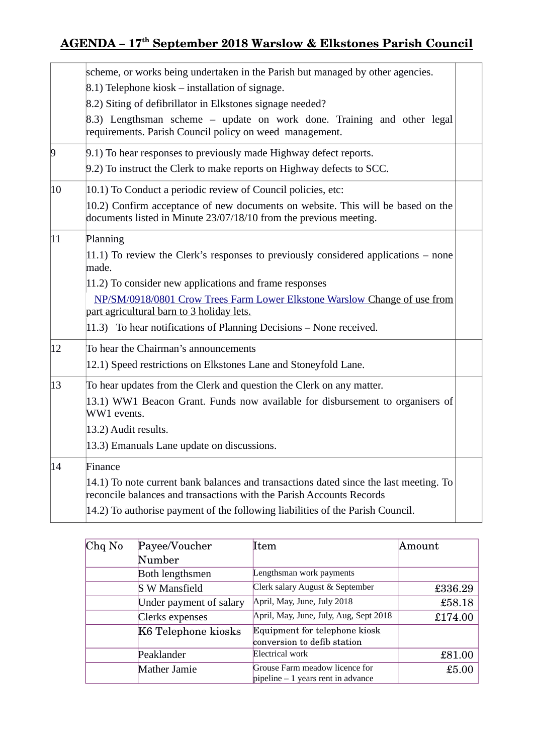## **AGENDA – 17th September 2018 Warslow & Elkstones Parish Council**

|                | scheme, or works being undertaken in the Parish but managed by other agencies.<br>$(8.1)$ Telephone kiosk – installation of signage.<br>8.2) Siting of defibrillator in Elkstones signage needed?<br>8.3) Lengthsman scheme – update on work done. Training and other legal<br>requirements. Parish Council policy on weed management.                                     |
|----------------|----------------------------------------------------------------------------------------------------------------------------------------------------------------------------------------------------------------------------------------------------------------------------------------------------------------------------------------------------------------------------|
| $\overline{9}$ | 9.1) To hear responses to previously made Highway defect reports.<br>9.2) To instruct the Clerk to make reports on Highway defects to SCC.                                                                                                                                                                                                                                 |
| 10             | 10.1) To Conduct a periodic review of Council policies, etc:<br>10.2) Confirm acceptance of new documents on website. This will be based on the<br>documents listed in Minute 23/07/18/10 from the previous meeting.                                                                                                                                                       |
| 11             | Planning<br>$ 11.1\rangle$ To review the Clerk's responses to previously considered applications – none<br>made.<br>11.2) To consider new applications and frame responses<br>NP/SM/0918/0801 Crow Trees Farm Lower Elkstone Warslow Change of use from<br>part agricultural barn to 3 holiday lets.<br>11.3) To hear notifications of Planning Decisions - None received. |
| 12             | To hear the Chairman's announcements<br>12.1) Speed restrictions on Elkstones Lane and Stoneyfold Lane.                                                                                                                                                                                                                                                                    |
| 13             | To hear updates from the Clerk and question the Clerk on any matter.<br>13.1) WW1 Beacon Grant. Funds now available for disbursement to organisers of<br>WW1 events.<br>13.2) Audit results.<br>13.3) Emanuals Lane update on discussions.                                                                                                                                 |
| 14             | Finance<br>14.1) To note current bank balances and transactions dated since the last meeting. To<br>reconcile balances and transactions with the Parish Accounts Records<br>14.2) To authorise payment of the following liabilities of the Parish Council.                                                                                                                 |

| $Chq$ No | Payee/Voucher           | Item                                                                       | Amount  |
|----------|-------------------------|----------------------------------------------------------------------------|---------|
|          | Number                  |                                                                            |         |
|          | Both lengthsmen         | Lengthsman work payments                                                   |         |
|          | <b>S</b> W Mansfield    | Clerk salary August & September                                            | £336.29 |
|          | Under payment of salary | April, May, June, July 2018                                                | £58.18  |
|          | Clerks expenses         | April, May, June, July, Aug, Sept 2018                                     | £174.00 |
|          | K6 Telephone kiosks     | Equipment for telephone kiosk                                              |         |
|          |                         | conversion to defib station                                                |         |
|          | Peaklander              | Electrical work                                                            | £81.00  |
|          | <b>Mather Jamie</b>     | Grouse Farm meadow licence for<br>$pi$ pipeline $-1$ years rent in advance | £5.00   |